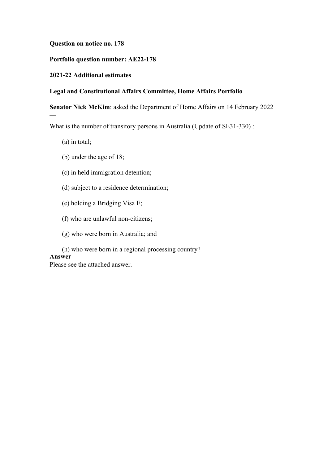**Question on notice no. 178**

**Portfolio question number: AE22-178**

#### **2021-22 Additional estimates**

#### **Legal and Constitutional Affairs Committee, Home Affairs Portfolio**

**Senator Nick McKim**: asked the Department of Home Affairs on 14 February 2022

What is the number of transitory persons in Australia (Update of SE31-330) :

(a) in total;

—

- (b) under the age of 18;
- (c) in held immigration detention;
- (d) subject to a residence determination;
- (e) holding a Bridging Visa E;
- (f) who are unlawful non-citizens;
- (g) who were born in Australia; and

(h) who were born in a regional processing country? **Answer —** Please see the attached answer.